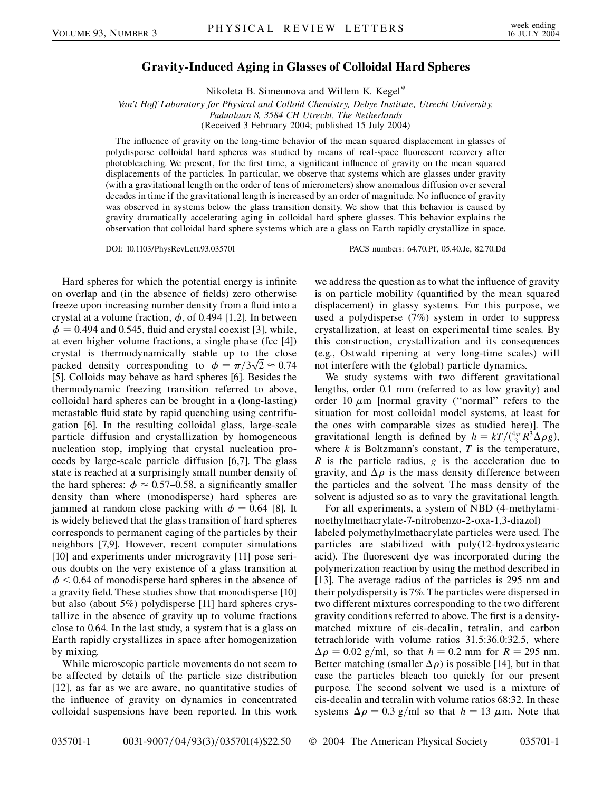## **Gravity-Induced Aging in Glasses of Colloidal Hard Spheres**

Nikoleta B. Simeonova and Willem K. Kegel\*

*Van't Hoff Laboratory for Physical and Colloid Chemistry, Debye Institute, Utrecht University, Padualaan 8, 3584 CH Utrecht, The Netherlands* (Received 3 February 2004; published 15 July 2004)

The influence of gravity on the long-time behavior of the mean squared displacement in glasses of polydisperse colloidal hard spheres was studied by means of real-space fluorescent recovery after photobleaching. We present, for the first time, a significant influence of gravity on the mean squared displacements of the particles. In particular, we observe that systems which are glasses under gravity (with a gravitational length on the order of tens of micrometers) show anomalous diffusion over several decades in time if the gravitational length is increased by an order of magnitude. No influence of gravity was observed in systems below the glass transition density. We show that this behavior is caused by gravity dramatically accelerating aging in colloidal hard sphere glasses. This behavior explains the observation that colloidal hard sphere systems which are a glass on Earth rapidly crystallize in space.

DOI: 10.1103/PhysRevLett.93.035701 PACS numbers: 64.70.Pf, 05.40.Jc, 82.70.Dd

Hard spheres for which the potential energy is infinite on overlap and (in the absence of fields) zero otherwise freeze upon increasing number density from a fluid into a crystal at a volume fraction,  $\phi$ , of 0.494 [1,2]. In between  $\phi = 0.494$  and 0.545, fluid and crystal coexist [3], while, at even higher volume fractions, a single phase (fcc [4]) crystal is thermodynamically stable up to the close crystal is thermodynamically stable up to the close<br>packed density corresponding to  $\phi = \pi/3\sqrt{2} \approx 0.74$ [5]. Colloids may behave as hard spheres [6]. Besides the thermodynamic freezing transition referred to above, colloidal hard spheres can be brought in a (long-lasting) metastable fluid state by rapid quenching using centrifugation [6]. In the resulting colloidal glass, large-scale particle diffusion and crystallization by homogeneous nucleation stop, implying that crystal nucleation proceeds by large-scale particle diffusion [6,7]. The glass state is reached at a surprisingly small number density of the hard spheres:  $\phi \approx 0.57{\text{-}}0.58$ , a significantly smaller density than where (monodisperse) hard spheres are jammed at random close packing with  $\phi = 0.64$  [8]. It is widely believed that the glass transition of hard spheres corresponds to permanent caging of the particles by their neighbors [7,9]. However, recent computer simulations [10] and experiments under microgravity [11] pose serious doubts on the very existence of a glass transition at  $\phi$  < 0.64 of monodisperse hard spheres in the absence of a gravity field. These studies show that monodisperse [10] but also (about 5%) polydisperse [11] hard spheres crystallize in the absence of gravity up to volume fractions close to 0.64. In the last study, a system that is a glass on Earth rapidly crystallizes in space after homogenization by mixing.

While microscopic particle movements do not seem to be affected by details of the particle size distribution [12], as far as we are aware, no quantitative studies of the influence of gravity on dynamics in concentrated colloidal suspensions have been reported. In this work we address the question as to what the influence of gravity is on particle mobility (quantified by the mean squared displacement) in glassy systems. For this purpose, we used a polydisperse (7%) system in order to suppress crystallization, at least on experimental time scales. By this construction, crystallization and its consequences (e.g., Ostwald ripening at very long-time scales) will not interfere with the (global) particle dynamics.

We study systems with two different gravitational lengths, order 0.1 mm (referred to as low gravity) and order 10  $\mu$ m [normal gravity ("normal" refers to the situation for most colloidal model systems, at least for the ones with comparable sizes as studied here)]. The gravitational length is defined by  $h = kT/(\frac{4\pi}{3}R^3\Delta\rho g)$ , where  $k$  is Boltzmann's constant,  $T$  is the temperature, *R* is the particle radius, *g* is the acceleration due to gravity, and  $\Delta \rho$  is the mass density difference between the particles and the solvent. The mass density of the solvent is adjusted so as to vary the gravitational length.

For all experiments, a system of NBD (4-methylaminoethylmethacrylate-7-nitrobenzo-2-oxa-1,3-diazol) labeled polymethylmethacrylate particles were used. The particles are stabilized with poly(12-hydroxystearic acid). The fluorescent dye was incorporated during the polymerization reaction by using the method described in [13]. The average radius of the particles is 295 nm and their polydispersity is 7%. The particles were dispersed in two different mixtures corresponding to the two different gravity conditions referred to above. The first is a densitymatched mixture of cis-decalin, tetralin, and carbon tetrachloride with volume ratios 31*:*5:36*:*0:32*:*5, where  $\Delta \rho = 0.02$  g/ml, so that  $h = 0.2$  mm for  $R = 295$  nm. Better matching (smaller  $\Delta \rho$ ) is possible [14], but in that case the particles bleach too quickly for our present purpose. The second solvent we used is a mixture of cis-decalin and tetralin with volume ratios 68:32. In these systems  $\Delta \rho = 0.3$  g/ml so that  $h = 13 \mu$ m. Note that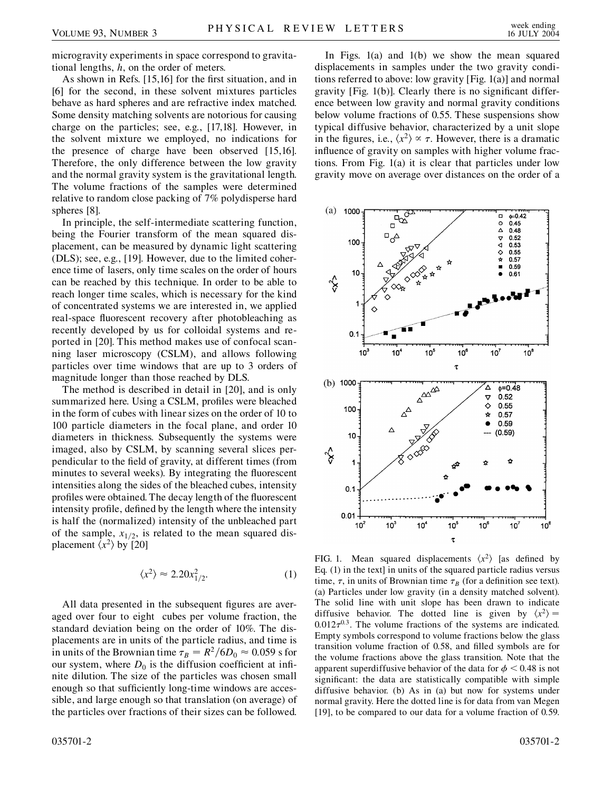microgravity experiments in space correspond to gravitational lengths, *h*, on the order of meters.

As shown in Refs. [15,16] for the first situation, and in [6] for the second, in these solvent mixtures particles behave as hard spheres and are refractive index matched. Some density matching solvents are notorious for causing charge on the particles; see, e.g., [17,18]. However, in the solvent mixture we employed, no indications for the presence of charge have been observed [15,16]. Therefore, the only difference between the low gravity and the normal gravity system is the gravitational length. The volume fractions of the samples were determined relative to random close packing of 7% polydisperse hard spheres [8].

In principle, the self-intermediate scattering function, being the Fourier transform of the mean squared displacement, can be measured by dynamic light scattering (DLS); see, e.g., [19]. However, due to the limited coherence time of lasers, only time scales on the order of hours can be reached by this technique. In order to be able to reach longer time scales, which is necessary for the kind of concentrated systems we are interested in, we applied real-space fluorescent recovery after photobleaching as recently developed by us for colloidal systems and reported in [20]. This method makes use of confocal scanning laser microscopy (CSLM), and allows following particles over time windows that are up to 3 orders of magnitude longer than those reached by DLS.

The method is described in detail in [20], and is only summarized here. Using a CSLM, profiles were bleached in the form of cubes with linear sizes on the order of 10 to 100 particle diameters in the focal plane, and order 10 diameters in thickness. Subsequently the systems were imaged, also by CSLM, by scanning several slices perpendicular to the field of gravity, at different times (from minutes to several weeks). By integrating the fluorescent intensities along the sides of the bleached cubes, intensity profiles were obtained. The decay length of the fluorescent intensity profile, defined by the length where the intensity is half the (normalized) intensity of the unbleached part of the sample,  $x_{1/2}$ , is related to the mean squared displacement  $\langle x^2 \rangle$  by [20]

$$
\langle x^2 \rangle \approx 2.20 x_{1/2}^2. \tag{1}
$$

All data presented in the subsequent figures are averaged over four to eight cubes per volume fraction, the standard deviation being on the order of 10%. The displacements are in units of the particle radius, and time is in units of the Brownian time  $\tau_B = R^2 / 6D_0 \approx 0.059$  s for our system, where  $D_0$  is the diffusion coefficient at infinite dilution. The size of the particles was chosen small enough so that sufficiently long-time windows are accessible, and large enough so that translation (on average) of the particles over fractions of their sizes can be followed.

In Figs. 1(a) and 1(b) we show the mean squared displacements in samples under the two gravity conditions referred to above: low gravity [Fig. 1(a)] and normal gravity [Fig. 1(b)]. Clearly there is no significant difference between low gravity and normal gravity conditions below volume fractions of 0.55. These suspensions show typical diffusive behavior, characterized by a unit slope in the figures, i.e.,  $\langle x^2 \rangle \propto \tau$ . However, there is a dramatic influence of gravity on samples with higher volume fractions. From Fig. 1(a) it is clear that particles under low gravity move on average over distances on the order of a



FIG. 1. Mean squared displacements  $\langle x^2 \rangle$  [as defined by Eq. (1) in the text] in units of the squared particle radius versus time,  $\tau$ , in units of Brownian time  $\tau_B$  (for a definition see text). (a) Particles under low gravity (in a density matched solvent). The solid line with unit slope has been drawn to indicate diffusive behavior. The dotted line is given by  $\langle x^2 \rangle =$  $0.012\tau^{0.3}$ . The volume fractions of the systems are indicated. Empty symbols correspond to volume fractions below the glass transition volume fraction of 0.58, and filled symbols are for the volume fractions above the glass transition. Note that the apparent superdiffusive behavior of the data for  $\phi$  < 0.48 is not significant: the data are statistically compatible with simple diffusive behavior. (b) As in (a) but now for systems under normal gravity. Here the dotted line is for data from van Megen [19], to be compared to our data for a volume fraction of 0.59.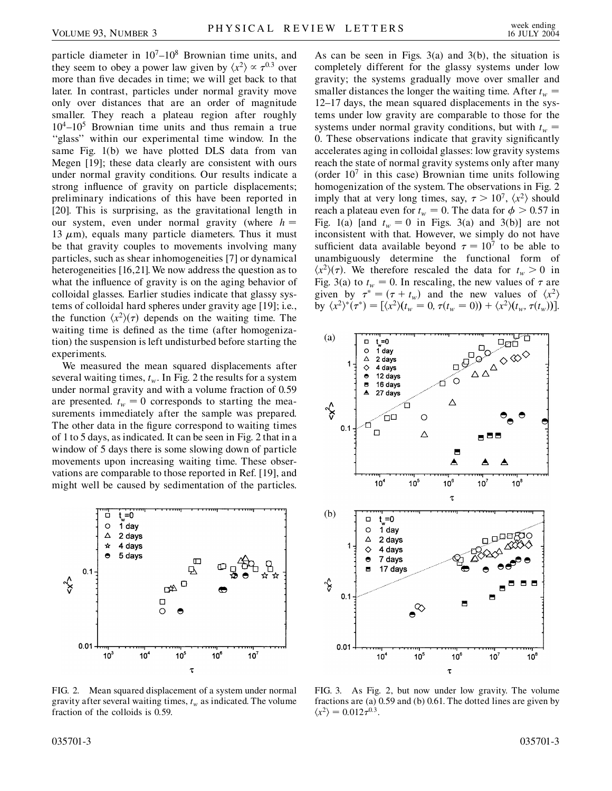particle diameter in  $10<sup>7</sup> - 10<sup>8</sup>$  Brownian time units, and they seem to obey a power law given by  $\langle x^2 \rangle \propto \tau^{0.3}$  over more than five decades in time; we will get back to that later. In contrast, particles under normal gravity move only over distances that are an order of magnitude smaller. They reach a plateau region after roughly  $10^4$ – $10^5$  Brownian time units and thus remain a true ''glass'' within our experimental time window. In the same Fig. 1(b) we have plotted DLS data from van Megen [19]; these data clearly are consistent with ours under normal gravity conditions. Our results indicate a strong influence of gravity on particle displacements; preliminary indications of this have been reported in [20]. This is surprising, as the gravitational length in our system, even under normal gravity (where  $h =$ 13  $\mu$ m), equals many particle diameters. Thus it must be that gravity couples to movements involving many particles, such as shear inhomogeneities [7] or dynamical heterogeneities [16,21]. We now address the question as to what the influence of gravity is on the aging behavior of colloidal glasses. Earlier studies indicate that glassy systems of colloidal hard spheres under gravity age [19]; i.e., the function  $\langle x^2 \rangle (\tau)$  depends on the waiting time. The waiting time is defined as the time (after homogenization) the suspension is left undisturbed before starting the experiments.

We measured the mean squared displacements after several waiting times,  $t_w$ . In Fig. 2 the results for a system under normal gravity and with a volume fraction of 0.59 are presented.  $t_w = 0$  corresponds to starting the measurements immediately after the sample was prepared. The other data in the figure correspond to waiting times of 1 to 5 days, as indicated. It can be seen in Fig. 2 that in a window of 5 days there is some slowing down of particle movements upon increasing waiting time. These observations are comparable to those reported in Ref. [19], and might well be caused by sedimentation of the particles.



FIG. 2. Mean squared displacement of a system under normal gravity after several waiting times,  $t_w$  as indicated. The volume fraction of the colloids is 0.59.

As can be seen in Figs.  $3(a)$  and  $3(b)$ , the situation is completely different for the glassy systems under low gravity; the systems gradually move over smaller and smaller distances the longer the waiting time. After  $t_w$ 12–17 days, the mean squared displacements in the systems under low gravity are comparable to those for the systems under normal gravity conditions, but with  $t_w =$ 0. These observations indicate that gravity significantly accelerates aging in colloidal glasses: low gravity systems reach the state of normal gravity systems only after many (order  $10<sup>7</sup>$  in this case) Brownian time units following homogenization of the system. The observations in Fig. 2 imply that at very long times, say,  $\tau > 10^7$ ,  $\langle x^2 \rangle$  should reach a plateau even for  $t_w = 0$ . The data for  $\phi > 0.57$  in Fig. 1(a) [and  $t_w = 0$  in Figs. 3(a) and 3(b)] are not inconsistent with that. However, we simply do not have sufficient data available beyond  $\tau = 10^7$  to be able to unambiguously determine the functional form of  $\langle x^2 \rangle(\tau)$ . We therefore rescaled the data for  $t_w > 0$  in Fig. 3(a) to  $t_w = 0$ . In rescaling, the new values of  $\tau$  are given by  $\tau^* = (\tau + t_w)$  and the new values of  $\langle x^2 \rangle$ by  $\langle x^2 \rangle^* (\tau^*) = [\langle x^2 \rangle (t_w = 0, \tau(t_w = 0)) + \langle x^2 \rangle (t_w, \tau(t_w))].$ 



FIG. 3. As Fig. 2, but now under low gravity. The volume fractions are (a) 0.59 and (b) 0.61. The dotted lines are given by  $\langle x^2 \rangle = 0.012\tau^{0.3}.$